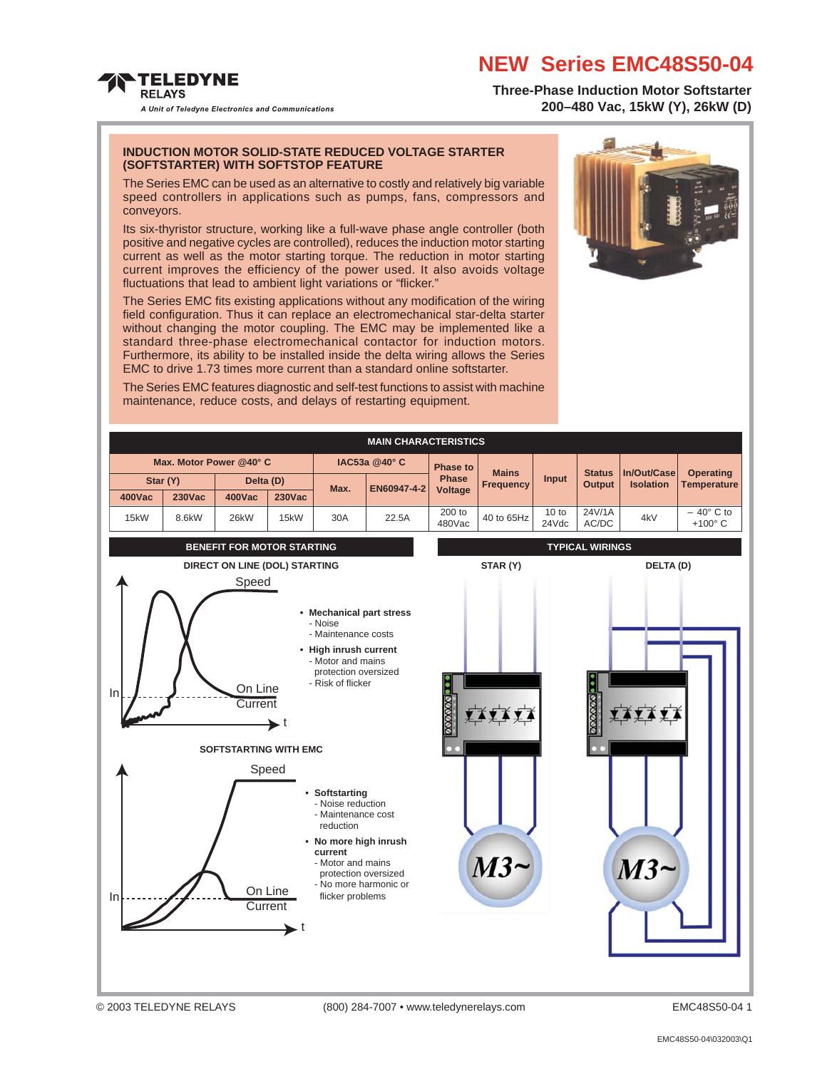#### **NEW Series EMC48S50-04**

**Three-Phase Induction Motor Softstarter 200–480 Vac, 15kW (Y), 26kW (D)**

A Unit of Teledyne Electronics and Communications

**TELEDYNE RELAYS** 

#### **INDUCTION MOTOR SOLID-STATE REDUCED VOLTAGE STARTER (SOFTSTARTER) WITH SOFTSTOP FEATURE**

The Series EMC can be used as an alternative to costly and relatively big variable speed controllers in applications such as pumps, fans, compressors and conveyors.

Its six-thyristor structure, working like a full-wave phase angle controller (both positive and negative cycles are controlled), reduces the induction motor starting current as well as the motor starting torque. The reduction in motor starting current improves the efficiency of the power used. It also avoids voltage fluctuations that lead to ambient light variations or "flicker."

The Series EMC fits existing applications without any modification of the wiring field configuration. Thus it can replace an electromechanical star-delta starter without changing the motor coupling. The EMC may be implemented like a standard three-phase electromechanical contactor for induction motors. Furthermore, its ability to be installed inside the delta wiring allows the Series EMC to drive 1.73 times more current than a standard online softstarter.



The Series EMC features diagnostic and self-test functions to assist with machine maintenance, reduce costs, and delays of restarting equipment.

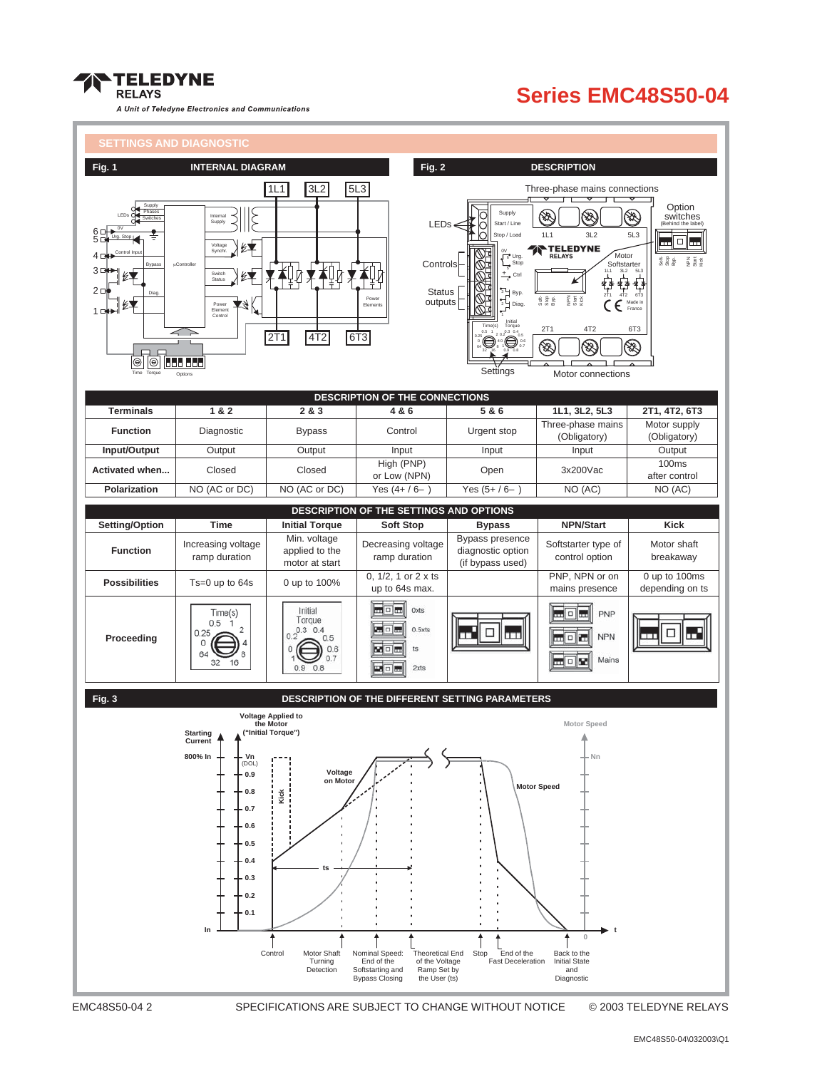

#### **Series EMC48S50-04**



EMC48S50-04 2 SPECIFICATIONS ARE SUBJECT TO CHANGE WITHOUT NOTICE © 2003 TELEDYNE RELAYS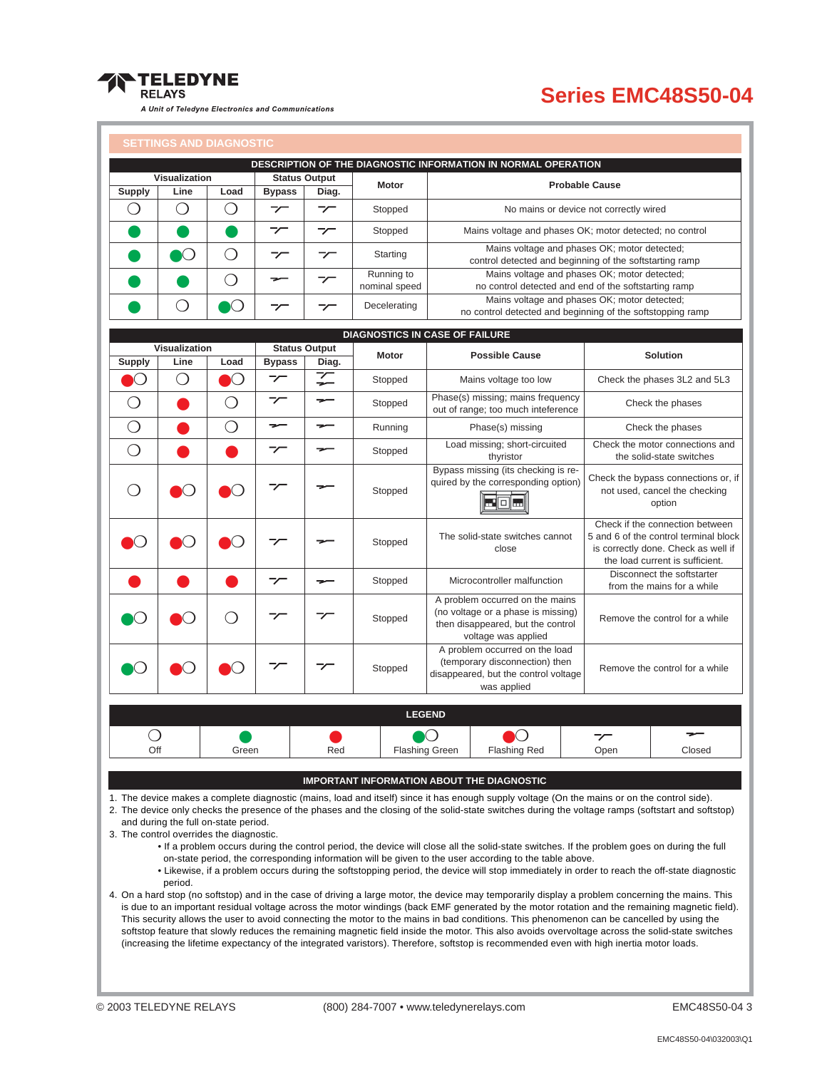

## **Series EMC48S50-04**

#### **SETTINGS AND DIAGNOSTIC**

|                                       |               | <b>SETTINGS AND DIAGNOSTIC</b> |                          |                          |                             |                                                                                                                                   |                                                                                                         |                                |                                                                                                                                                    |                                                          |
|---------------------------------------|---------------|--------------------------------|--------------------------|--------------------------|-----------------------------|-----------------------------------------------------------------------------------------------------------------------------------|---------------------------------------------------------------------------------------------------------|--------------------------------|----------------------------------------------------------------------------------------------------------------------------------------------------|----------------------------------------------------------|
|                                       |               |                                |                          |                          |                             |                                                                                                                                   | DESCRIPTION OF THE DIAGNOSTIC INFORMATION IN NORMAL OPERATION                                           |                                |                                                                                                                                                    |                                                          |
| Visualization                         |               |                                | <b>Status Output</b>     | <b>Motor</b>             | <b>Probable Cause</b>       |                                                                                                                                   |                                                                                                         |                                |                                                                                                                                                    |                                                          |
| <b>Supply</b>                         | Line          | Load                           | <b>Bypass</b>            | Diag.                    |                             |                                                                                                                                   |                                                                                                         |                                |                                                                                                                                                    |                                                          |
| ◯                                     | ◯             | ◯                              | $\overline{\phantom{a}}$ | $\overline{\phantom{a}}$ | Stopped                     | No mains or device not correctly wired                                                                                            |                                                                                                         |                                |                                                                                                                                                    |                                                          |
|                                       |               |                                | $\overline{\phantom{a}}$ | $\overline{\phantom{a}}$ | Stopped                     |                                                                                                                                   | Mains voltage and phases OK; motor detected; no control                                                 |                                |                                                                                                                                                    |                                                          |
|                                       | $\bullet$     | ∩                              | $\overline{\phantom{a}}$ | $\overline{\phantom{a}}$ | Starting                    |                                                                                                                                   | Mains voltage and phases OK; motor detected;<br>control detected and beginning of the softstarting ramp |                                |                                                                                                                                                    |                                                          |
|                                       |               | ◯                              | ⇁                        | $\overline{\phantom{a}}$ | Running to<br>nominal speed |                                                                                                                                   | Mains voltage and phases OK; motor detected;<br>no control detected and end of the softstarting ramp    |                                |                                                                                                                                                    |                                                          |
|                                       | ⌒             | ⌒                              | $\overline{\phantom{a}}$ | $\overline{\phantom{a}}$ | Decelerating                | Mains voltage and phases OK; motor detected;<br>no control detected and beginning of the softstopping ramp                        |                                                                                                         |                                |                                                                                                                                                    |                                                          |
| <b>DIAGNOSTICS IN CASE OF FAILURE</b> |               |                                |                          |                          |                             |                                                                                                                                   |                                                                                                         |                                |                                                                                                                                                    |                                                          |
|                                       | Visualization |                                |                          | <b>Status Output</b>     | <b>Motor</b>                |                                                                                                                                   | <b>Possible Cause</b>                                                                                   |                                |                                                                                                                                                    | <b>Solution</b>                                          |
| <b>Supply</b>                         | Line          | Load                           | <b>Bypass</b>            | Diag.                    |                             |                                                                                                                                   |                                                                                                         |                                |                                                                                                                                                    |                                                          |
| $\bullet$ $\bullet$                   | $\bigcirc$    | 0                              | $\overline{\phantom{a}}$ |                          | Stopped                     |                                                                                                                                   | Mains voltage too low                                                                                   |                                |                                                                                                                                                    | Check the phases 3L2 and 5L3                             |
| $\bigcirc$                            |               | $\bigcirc$                     | $\overline{\phantom{a}}$ | ⇁                        | Stopped                     | Phase(s) missing; mains frequency<br>out of range; too much inteference                                                           |                                                                                                         |                                | Check the phases                                                                                                                                   |                                                          |
| $\bigcirc$                            |               | $\bigcirc$                     | ⇁                        | $\overline{\phantom{m}}$ | Running                     | Phase(s) missing                                                                                                                  |                                                                                                         |                                | Check the phases                                                                                                                                   |                                                          |
| $\bigcirc$                            |               |                                | $\tau$                   |                          | Stopped                     | Load missing; short-circuited<br>thyristor                                                                                        |                                                                                                         |                                | Check the motor connections and<br>the solid-state switches                                                                                        |                                                          |
| ◯                                     |               |                                | プ                        |                          | Stopped                     | Bypass missing (its checking is re-<br>quired by the corresponding option)<br>$\Box$                                              |                                                                                                         |                                | Check the bypass connections or, if<br>not used, cancel the checking<br>option                                                                     |                                                          |
|                                       | 0             |                                | プ                        |                          | Stopped                     | The solid-state switches cannot<br>close                                                                                          |                                                                                                         |                                | Check if the connection between<br>5 and 6 of the control terminal block<br>is correctly done. Check as well if<br>the load current is sufficient. |                                                          |
|                                       |               |                                | プ                        |                          | Stopped                     | Microcontroller malfunction                                                                                                       |                                                                                                         |                                |                                                                                                                                                    | Disconnect the softstarter<br>from the mains for a while |
|                                       |               |                                | プ                        | ァ                        | Stopped                     | A problem occurred on the mains<br>(no voltage or a phase is missing)<br>then disappeared, but the control<br>voltage was applied |                                                                                                         | Remove the control for a while |                                                                                                                                                    |                                                          |
|                                       |               |                                |                          | ァ                        | Stopped                     | A problem occurred on the load<br>(temporary disconnection) then<br>disappeared, but the control voltage<br>was applied           |                                                                                                         |                                | Remove the control for a while                                                                                                                     |                                                          |
|                                       |               |                                |                          |                          |                             | <b>LEGEND</b>                                                                                                                     |                                                                                                         |                                |                                                                                                                                                    |                                                          |
| Off                                   |               | Green                          |                          | Red                      |                             | <b>Flashing Green</b>                                                                                                             | <b>Flashing Red</b>                                                                                     |                                | プ<br>Open                                                                                                                                          | Closed                                                   |

#### **IMPORTANT INFORMATION ABOUT THE DIAGNOSTIC**

1. The device makes a complete diagnostic (mains, load and itself) since it has enough supply voltage (On the mains or on the control side). 2. The device only checks the presence of the phases and the closing of the solid-state switches during the voltage ramps (softstart and softstop)

and during the full on-state period.

3. The control overrides the diagnostic.

• If a problem occurs during the control period, the device will close all the solid-state switches. If the problem goes on during the full on-state period, the corresponding information will be given to the user according to the table above.

• Likewise, if a problem occurs during the softstopping period, the device will stop immediately in order to reach the off-state diagnostic period.

4. On a hard stop (no softstop) and in the case of driving a large motor, the device may temporarily display a problem concerning the mains. This is due to an important residual voltage across the motor windings (back EMF generated by the motor rotation and the remaining magnetic field). This security allows the user to avoid connecting the motor to the mains in bad conditions. This phenomenon can be cancelled by using the softstop feature that slowly reduces the remaining magnetic field inside the motor. This also avoids overvoltage across the solid-state switches (increasing the lifetime expectancy of the integrated varistors). Therefore, softstop is recommended even with high inertia motor loads.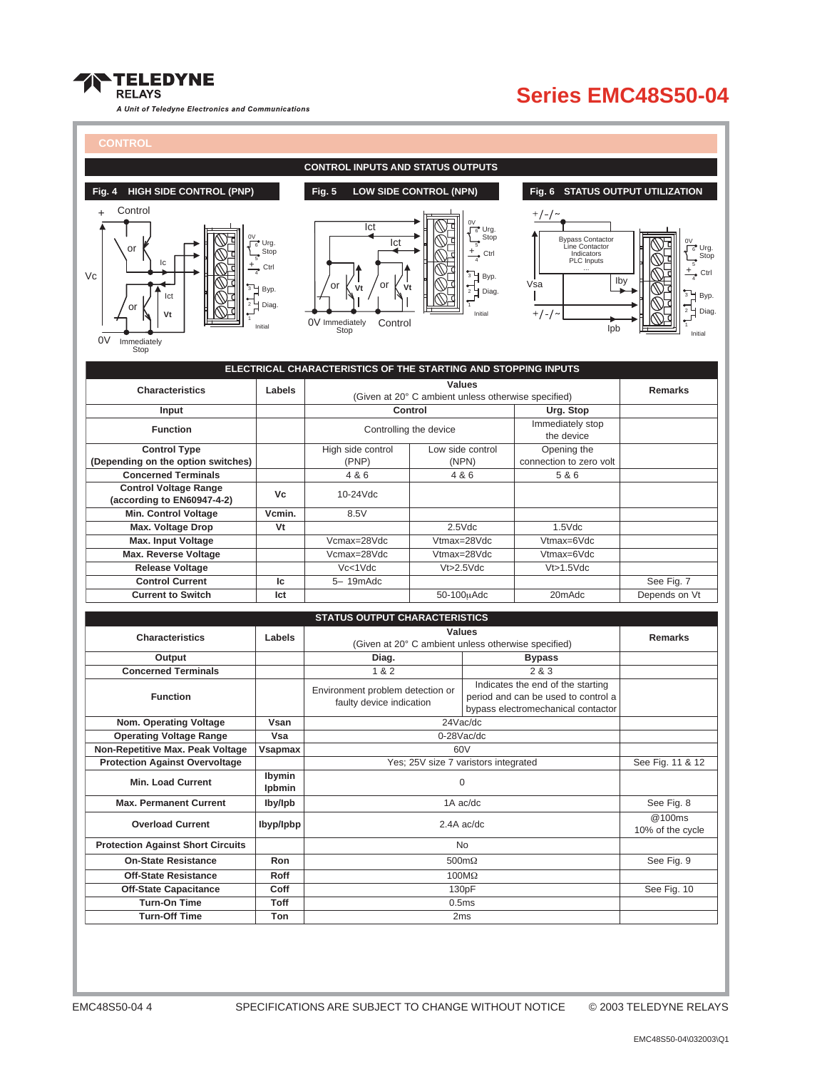

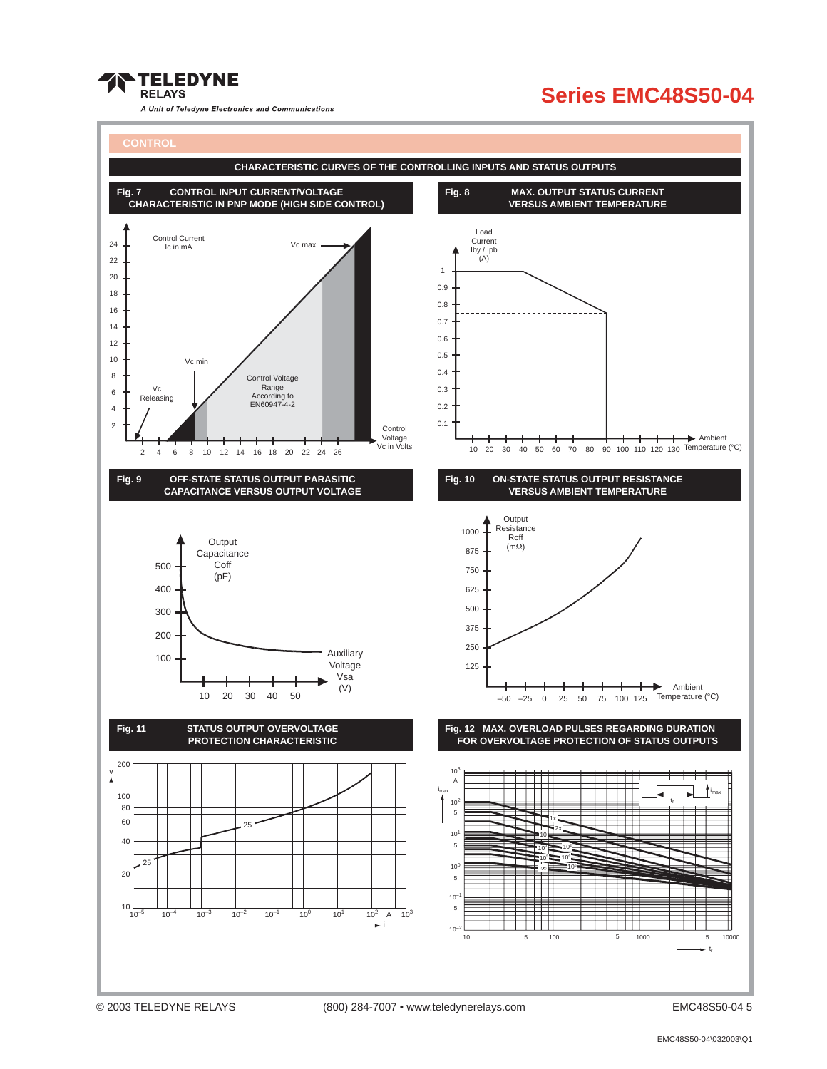

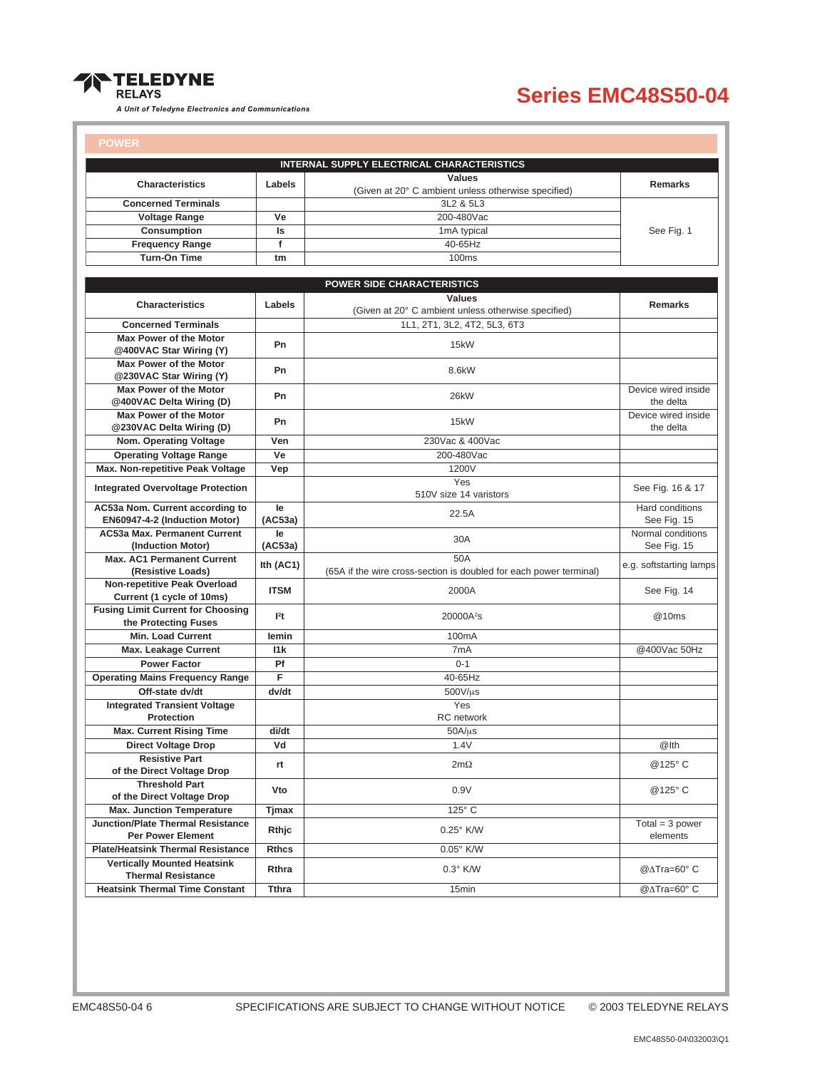

| <b>POWER</b>                                           |                  |                                                                    |                         |
|--------------------------------------------------------|------------------|--------------------------------------------------------------------|-------------------------|
|                                                        |                  | <b>INTERNAL SUPPLY ELECTRICAL CHARACTERISTICS</b>                  |                         |
|                                                        |                  | <b>Values</b>                                                      |                         |
| <b>Characteristics</b>                                 | Labels           | (Given at 20° C ambient unless otherwise specified)                | <b>Remarks</b>          |
| <b>Concerned Terminals</b>                             |                  | 3L2 & 5L3                                                          |                         |
| <b>Voltage Range</b>                                   | Ve               | 200-480Vac                                                         |                         |
| <b>Consumption</b>                                     | Is               | 1mA typical                                                        | See Fig. 1              |
| <b>Frequency Range</b>                                 | f                | 40-65Hz                                                            |                         |
| <b>Turn-On Time</b>                                    | tm               | <b>100ms</b>                                                       |                         |
|                                                        |                  |                                                                    |                         |
|                                                        |                  | <b>POWER SIDE CHARACTERISTICS</b>                                  |                         |
|                                                        |                  | Values                                                             |                         |
| <b>Characteristics</b>                                 | Labels           | (Given at 20° C ambient unless otherwise specified)                | <b>Remarks</b>          |
| <b>Concerned Terminals</b>                             |                  | 1L1, 2T1, 3L2, 4T2, 5L3, 6T3                                       |                         |
| <b>Max Power of the Motor</b>                          | Pn               | 15kW                                                               |                         |
| @400VAC Star Wiring (Y)                                |                  |                                                                    |                         |
| Max Power of the Motor                                 | Pn               | 8.6kW                                                              |                         |
| @230VAC Star Wiring (Y)                                |                  |                                                                    |                         |
| <b>Max Power of the Motor</b>                          | Pn               | 26kW                                                               | Device wired inside     |
| @400VAC Delta Wiring (D)                               |                  |                                                                    | the delta               |
| <b>Max Power of the Motor</b>                          | Pn               | 15kW                                                               | Device wired inside     |
| @230VAC Delta Wiring (D)                               |                  |                                                                    | the delta               |
| Nom. Operating Voltage                                 | Ven              | 230Vac & 400Vac                                                    |                         |
| <b>Operating Voltage Range</b>                         | Ve               | 200-480Vac                                                         |                         |
| Max. Non-repetitive Peak Voltage                       | Vep              | 1200V                                                              |                         |
| <b>Integrated Overvoltage Protection</b>               |                  | Yes                                                                | See Fig. 16 & 17        |
|                                                        |                  | 510V size 14 varistors                                             |                         |
| AC53a Nom. Current according to                        | le               | 22.5A                                                              | Hard conditions         |
| EN60947-4-2 (Induction Motor)                          | (AC53a)          |                                                                    | See Fig. 15             |
| <b>AC53a Max. Permanent Current</b>                    | le               | 30A                                                                | Normal conditions       |
| (Induction Motor)<br><b>Max. AC1 Permanent Current</b> | (AC53a)          | 50A                                                                | See Fig. 15             |
| (Resistive Loads)                                      | Ith $(AC1)$      | (65A if the wire cross-section is doubled for each power terminal) | e.g. softstarting lamps |
| Non-repetitive Peak Overload                           |                  |                                                                    |                         |
| Current (1 cycle of 10ms)                              | <b>ITSM</b>      | 2000A                                                              | See Fig. 14             |
| <b>Fusing Limit Current for Choosing</b>               |                  |                                                                    |                         |
| the Protecting Fuses                                   | l <sup>2</sup> t | 20000A <sup>2</sup> s                                              | @10ms                   |
| <b>Min. Load Current</b>                               | lemin            | 100 <sub>m</sub> A                                                 |                         |
| <b>Max. Leakage Current</b>                            | 11k              | 7mA                                                                | @400Vac 50Hz            |
| <b>Power Factor</b>                                    | Pf               | $0 - 1$                                                            |                         |
| <b>Operating Mains Frequency Range</b>                 | F                | 40-65Hz                                                            |                         |
| Off-state dv/dt                                        | dv/dt            | 500V/µs                                                            |                         |
| <b>Integrated Transient Voltage</b>                    |                  | Yes                                                                |                         |
| <b>Protection</b>                                      |                  | <b>RC</b> network                                                  |                         |
| <b>Max. Current Rising Time</b>                        | di/dt            | $50A/\mu s$                                                        |                         |
| <b>Direct Voltage Drop</b>                             | Vd               | 1.4V                                                               | @Ith                    |
| <b>Resistive Part</b>                                  |                  |                                                                    |                         |
| of the Direct Voltage Drop                             | rt               | $2m\Omega$                                                         | @125°C                  |
| <b>Threshold Part</b>                                  |                  |                                                                    |                         |
| of the Direct Voltage Drop                             | Vto              | 0.9V                                                               | @125°C                  |
| <b>Max. Junction Temperature</b>                       | <b>Tjmax</b>     | $125^\circ$ C                                                      |                         |
| <b>Junction/Plate Thermal Resistance</b>               |                  |                                                                    | $Total = 3 power$       |
| <b>Per Power Element</b>                               | Rthjc            | 0.25° K/W                                                          | elements                |
| <b>Plate/Heatsink Thermal Resistance</b>               | <b>Rthcs</b>     | 0.05° K/W                                                          |                         |
| <b>Vertically Mounted Heatsink</b>                     | Rthra            | $0.3^\circ$ K/W                                                    | @∆Tra=60° C             |
| <b>Thermal Resistance</b>                              |                  |                                                                    |                         |
| <b>Heatsink Thermal Time Constant</b>                  | <b>Tthra</b>     | 15min                                                              | @∆Tra=60° C             |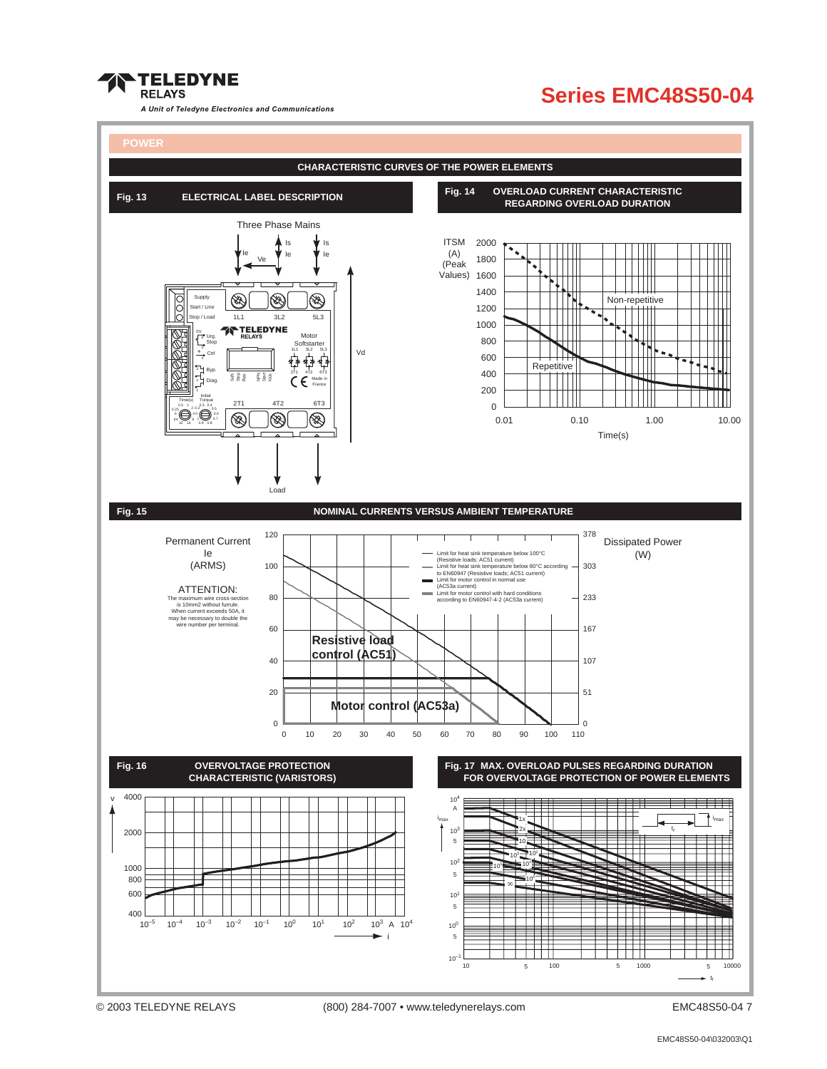

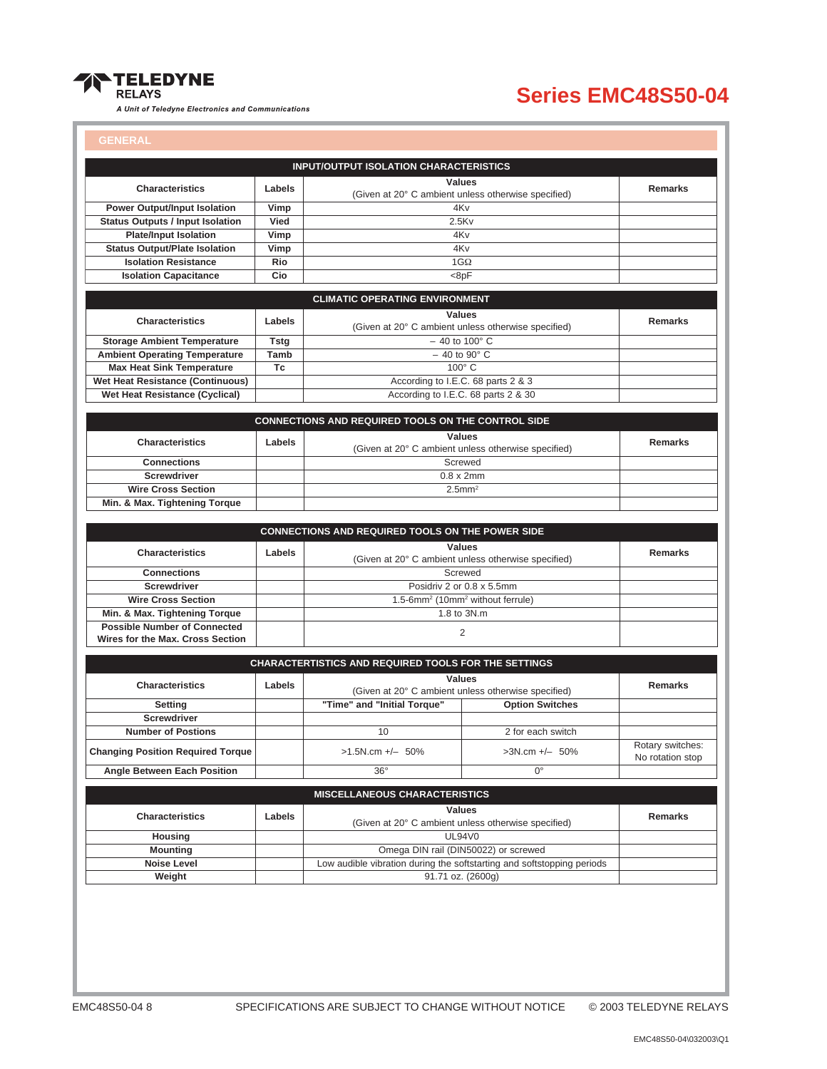

### **Series EMC48S50-04**

#### **GENERAL**

|                                                 |                                                                                | <b>INPUT/OUTPUT ISOLATION CHARACTERISTICS</b>                           |                                                                        |                                      |
|-------------------------------------------------|--------------------------------------------------------------------------------|-------------------------------------------------------------------------|------------------------------------------------------------------------|--------------------------------------|
| Labels<br><b>Characteristics</b>                |                                                                                | <b>Values</b><br>(Given at 20° C ambient unless otherwise specified)    |                                                                        | <b>Remarks</b>                       |
| <b>Power Output/Input Isolation</b>             | Vimp                                                                           | 4K <sub>v</sub>                                                         |                                                                        |                                      |
| <b>Status Outputs / Input Isolation</b><br>Vied |                                                                                | 2.5Kv                                                                   |                                                                        |                                      |
| <b>Plate/Input Isolation</b>                    | Vimp                                                                           | 4K <sub>v</sub>                                                         |                                                                        |                                      |
| <b>Status Output/Plate Isolation</b>            | Vimp                                                                           | 4K <sub>v</sub>                                                         |                                                                        |                                      |
| <b>Isolation Resistance</b>                     | Rio                                                                            | $1G\Omega$                                                              |                                                                        |                                      |
| <b>Isolation Capacitance</b>                    | Cio                                                                            | $8pF$                                                                   |                                                                        |                                      |
|                                                 |                                                                                | <b>CLIMATIC OPERATING ENVIRONMENT</b>                                   |                                                                        |                                      |
|                                                 |                                                                                | <b>Values</b>                                                           |                                                                        |                                      |
| <b>Characteristics</b>                          | Labels                                                                         | (Given at 20° C ambient unless otherwise specified)                     |                                                                        | <b>Remarks</b>                       |
| <b>Storage Ambient Temperature</b>              | <b>Tstg</b>                                                                    | $-40$ to 100 $^{\circ}$ C                                               |                                                                        |                                      |
| <b>Ambient Operating Temperature</b>            | Tamb                                                                           | $-40$ to 90 $^{\circ}$ C                                                |                                                                        |                                      |
| <b>Max Heat Sink Temperature</b>                | Tc                                                                             | $100^\circ$ C                                                           |                                                                        |                                      |
| <b>Wet Heat Resistance (Continuous)</b>         |                                                                                | According to I.E.C. 68 parts 2 & 3                                      |                                                                        |                                      |
| Wet Heat Resistance (Cyclical)                  |                                                                                | According to I.E.C. 68 parts 2 & 30                                     |                                                                        |                                      |
|                                                 |                                                                                | CONNECTIONS AND REQUIRED TOOLS ON THE CONTROL SIDE                      |                                                                        |                                      |
| <b>Characteristics</b>                          | Labels                                                                         | <b>Values</b>                                                           |                                                                        | <b>Remarks</b>                       |
|                                                 |                                                                                | (Given at 20° C ambient unless otherwise specified)                     |                                                                        |                                      |
| <b>Connections</b>                              |                                                                                | Screwed                                                                 |                                                                        |                                      |
| <b>Screwdriver</b>                              |                                                                                | $0.8 \times 2$ mm                                                       |                                                                        |                                      |
| <b>Wire Cross Section</b>                       |                                                                                | $2.5$ mm <sup>2</sup>                                                   |                                                                        |                                      |
| Min. & Max. Tightening Torque                   |                                                                                |                                                                         |                                                                        |                                      |
|                                                 |                                                                                | <b>CONNECTIONS AND REQUIRED TOOLS ON THE POWER SIDE</b>                 |                                                                        |                                      |
| <b>Characteristics</b>                          | Labels                                                                         | <b>Values</b>                                                           | Remarks                                                                |                                      |
| <b>Connections</b>                              |                                                                                | (Given at 20° C ambient unless otherwise specified)                     |                                                                        |                                      |
| <b>Screwdriver</b>                              |                                                                                | Screwed<br>Posidriv 2 or 0.8 x 5.5mm                                    |                                                                        |                                      |
| <b>Wire Cross Section</b>                       |                                                                                |                                                                         |                                                                        |                                      |
| Min. & Max. Tightening Torque                   |                                                                                | 1.5-6mm <sup>2</sup> (10mm <sup>2</sup> without ferrule)<br>1.8 to 3N.m |                                                                        |                                      |
| <b>Possible Number of Connected</b>             |                                                                                |                                                                         |                                                                        |                                      |
| Wires for the Max. Cross Section                |                                                                                | 2                                                                       |                                                                        |                                      |
|                                                 |                                                                                | CHARACTERTISTICS AND REQUIRED TOOLS FOR THE SETTINGS                    |                                                                        |                                      |
|                                                 |                                                                                |                                                                         |                                                                        |                                      |
| <b>Characteristics</b>                          | <b>Values</b><br>Labels<br>(Given at 20° C ambient unless otherwise specified) |                                                                         | <b>Remarks</b>                                                         |                                      |
| Setting                                         |                                                                                | "Time" and "Initial Torque"                                             | <b>Option Switches</b>                                                 |                                      |
| <b>Screwdriver</b>                              |                                                                                |                                                                         |                                                                        |                                      |
| <b>Number of Postions</b>                       |                                                                                | 10                                                                      | 2 for each switch                                                      |                                      |
| <b>Changing Position Required Torque</b>        |                                                                                | $>1.5N.cm +/- 50\%$                                                     | >3N.cm +/- 50%                                                         | Rotary switches:<br>No rotation stop |
| <b>Angle Between Each Position</b>              |                                                                                | $36^\circ$                                                              | 0°                                                                     |                                      |
|                                                 |                                                                                |                                                                         |                                                                        |                                      |
|                                                 |                                                                                | <b>MISCELLANEOUS CHARACTERISTICS</b>                                    |                                                                        |                                      |
| <b>Characteristics</b>                          | Labels                                                                         | <b>Values</b><br>(Given at 20° C ambient unless otherwise specified)    |                                                                        | Remarks                              |
| Housing                                         |                                                                                | <b>UL94V0</b>                                                           |                                                                        |                                      |
|                                                 |                                                                                | Omega DIN rail (DIN50022) or screwed                                    |                                                                        |                                      |
| <b>Mounting</b>                                 | Noise Level                                                                    |                                                                         | Low audible vibration during the softstarting and softstopping periods |                                      |
|                                                 |                                                                                |                                                                         |                                                                        |                                      |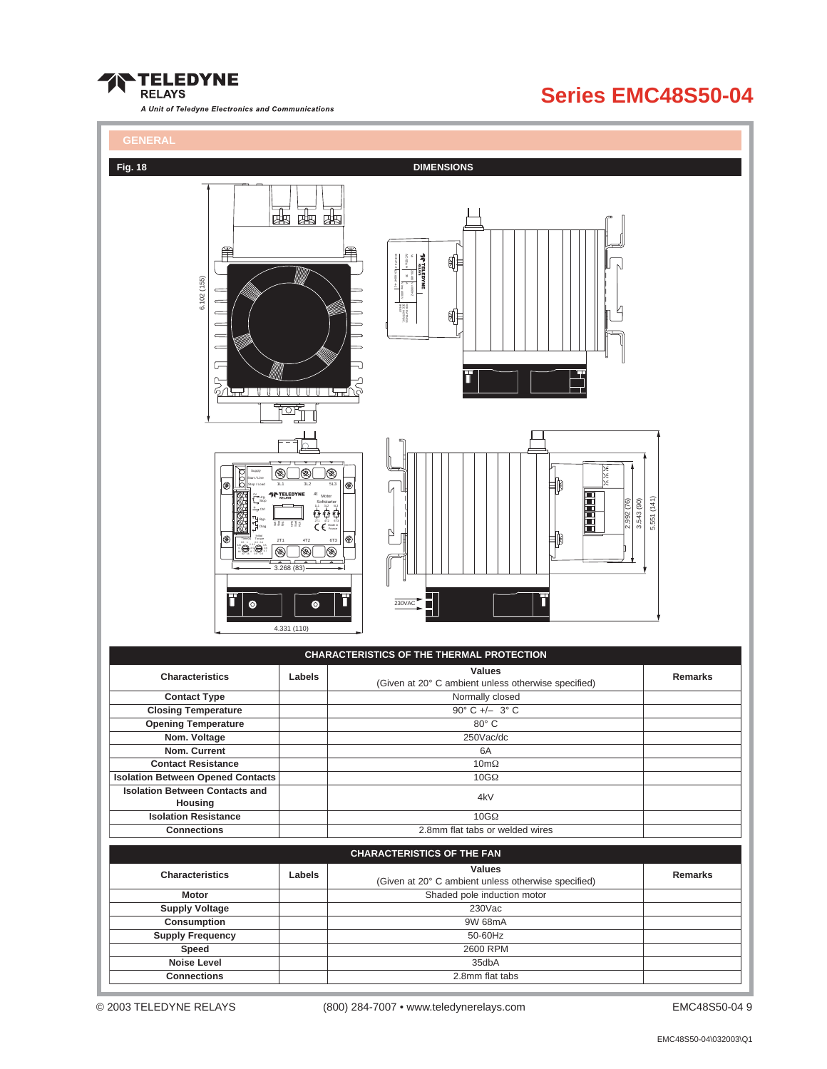

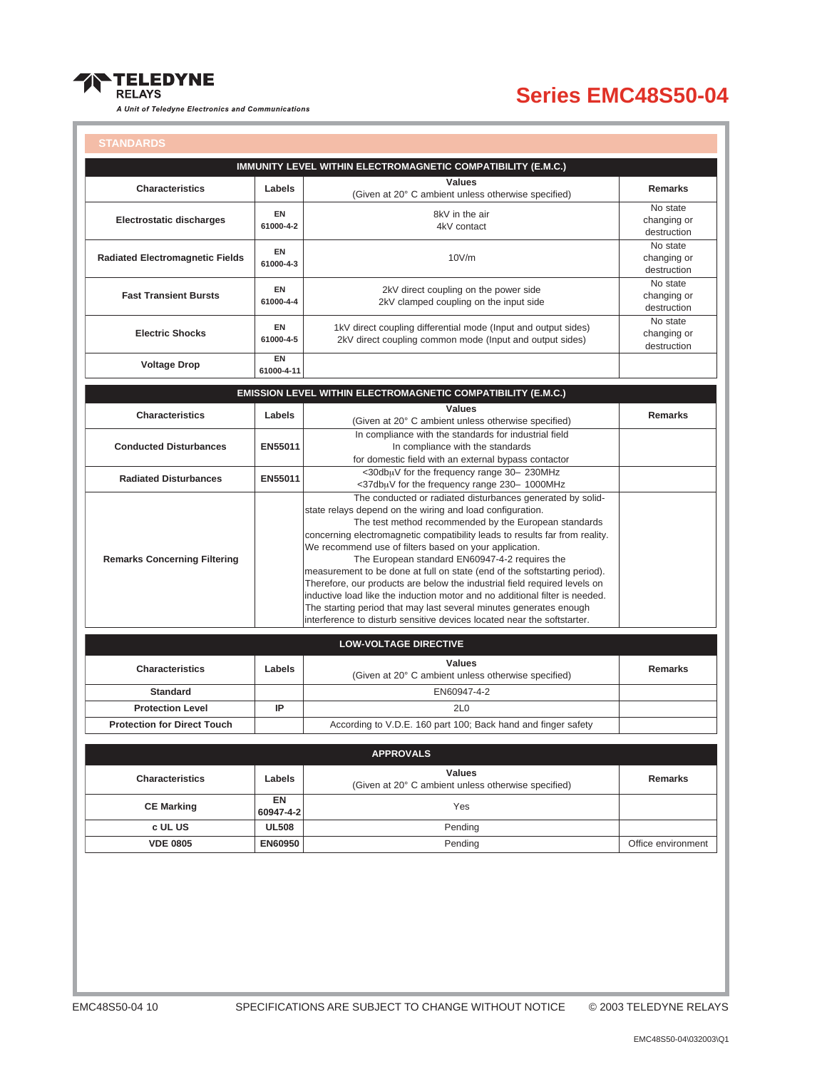

| <b>STANDARDS</b> |  |  |
|------------------|--|--|
|                  |  |  |
|                  |  |  |

|                                        |                        | IMMUNITY LEVEL WITHIN ELECTROMAGNETIC COMPATIBILITY (E.M.C.)                                                                                                                                                                                                                                                                                                                                                                                                                                                                                                                                                                                                                                                                                                          |                                        |
|----------------------------------------|------------------------|-----------------------------------------------------------------------------------------------------------------------------------------------------------------------------------------------------------------------------------------------------------------------------------------------------------------------------------------------------------------------------------------------------------------------------------------------------------------------------------------------------------------------------------------------------------------------------------------------------------------------------------------------------------------------------------------------------------------------------------------------------------------------|----------------------------------------|
| <b>Characteristics</b>                 | Labels                 | <b>Values</b><br>(Given at 20° C ambient unless otherwise specified)                                                                                                                                                                                                                                                                                                                                                                                                                                                                                                                                                                                                                                                                                                  | <b>Remarks</b>                         |
| Electrostatic discharges               | <b>EN</b><br>61000-4-2 | 8kV in the air<br>4kV contact                                                                                                                                                                                                                                                                                                                                                                                                                                                                                                                                                                                                                                                                                                                                         | No state<br>changing or<br>destruction |
| <b>Radiated Electromagnetic Fields</b> | EN<br>61000-4-3        | 10V/m                                                                                                                                                                                                                                                                                                                                                                                                                                                                                                                                                                                                                                                                                                                                                                 | No state<br>changing or<br>destruction |
| <b>Fast Transient Bursts</b>           | EN<br>61000-4-4        | 2kV direct coupling on the power side<br>2kV clamped coupling on the input side                                                                                                                                                                                                                                                                                                                                                                                                                                                                                                                                                                                                                                                                                       | No state<br>changing or<br>destruction |
| <b>Electric Shocks</b>                 | <b>EN</b><br>61000-4-5 | 1kV direct coupling differential mode (Input and output sides)<br>2kV direct coupling common mode (Input and output sides)                                                                                                                                                                                                                                                                                                                                                                                                                                                                                                                                                                                                                                            | No state<br>changing or<br>destruction |
| <b>Voltage Drop</b>                    | EN<br>61000-4-11       |                                                                                                                                                                                                                                                                                                                                                                                                                                                                                                                                                                                                                                                                                                                                                                       |                                        |
|                                        |                        | EMISSION LEVEL WITHIN ELECTROMAGNETIC COMPATIBILITY (E.M.C.)                                                                                                                                                                                                                                                                                                                                                                                                                                                                                                                                                                                                                                                                                                          |                                        |
|                                        |                        | <b>Values</b>                                                                                                                                                                                                                                                                                                                                                                                                                                                                                                                                                                                                                                                                                                                                                         |                                        |
| <b>Characteristics</b>                 | Labels                 | (Given at 20° C ambient unless otherwise specified)                                                                                                                                                                                                                                                                                                                                                                                                                                                                                                                                                                                                                                                                                                                   | <b>Remarks</b>                         |
| <b>Conducted Disturbances</b>          | EN55011                | In compliance with the standards for industrial field<br>In compliance with the standards                                                                                                                                                                                                                                                                                                                                                                                                                                                                                                                                                                                                                                                                             |                                        |
|                                        |                        | for domestic field with an external bypass contactor<br><30dbuV for the frequency range 30- 230MHz                                                                                                                                                                                                                                                                                                                                                                                                                                                                                                                                                                                                                                                                    |                                        |
| <b>Radiated Disturbances</b>           | EN55011                | <37dbuV for the frequency range 230- 1000MHz                                                                                                                                                                                                                                                                                                                                                                                                                                                                                                                                                                                                                                                                                                                          |                                        |
| <b>Remarks Concerning Filtering</b>    |                        | The conducted or radiated disturbances generated by solid-<br>state relays depend on the wiring and load configuration.<br>The test method recommended by the European standards<br>concerning electromagnetic compatibility leads to results far from reality.<br>We recommend use of filters based on your application.<br>The European standard EN60947-4-2 requires the<br>measurement to be done at full on state (end of the softstarting period).<br>Therefore, our products are below the industrial field required levels on<br>inductive load like the induction motor and no additional filter is needed.<br>The starting period that may last several minutes generates enough<br>interference to disturb sensitive devices located near the softstarter. |                                        |
|                                        |                        | <b>LOW-VOLTAGE DIRECTIVE</b>                                                                                                                                                                                                                                                                                                                                                                                                                                                                                                                                                                                                                                                                                                                                          |                                        |
| <b>Characteristics</b>                 | Labels                 | <b>Values</b><br>(Given at 20° C ambient unless otherwise specified)                                                                                                                                                                                                                                                                                                                                                                                                                                                                                                                                                                                                                                                                                                  | <b>Remarks</b>                         |
| <b>Standard</b>                        |                        | EN60947-4-2                                                                                                                                                                                                                                                                                                                                                                                                                                                                                                                                                                                                                                                                                                                                                           |                                        |
| <b>Protection Level</b>                | IP                     | 2L <sub>0</sub>                                                                                                                                                                                                                                                                                                                                                                                                                                                                                                                                                                                                                                                                                                                                                       |                                        |
| <b>Protection for Direct Touch</b>     |                        | According to V.D.E. 160 part 100; Back hand and finger safety                                                                                                                                                                                                                                                                                                                                                                                                                                                                                                                                                                                                                                                                                                         |                                        |
|                                        |                        | <b>APPROVALS</b>                                                                                                                                                                                                                                                                                                                                                                                                                                                                                                                                                                                                                                                                                                                                                      |                                        |
| <b>Characteristics</b>                 | Labels                 | <b>Values</b><br>(Given at 20° C ambient unless otherwise specified)                                                                                                                                                                                                                                                                                                                                                                                                                                                                                                                                                                                                                                                                                                  | <b>Remarks</b>                         |
| <b>CE Marking</b>                      | EN<br>60947-4-2        | Yes                                                                                                                                                                                                                                                                                                                                                                                                                                                                                                                                                                                                                                                                                                                                                                   |                                        |
| c UL US                                | <b>UL508</b>           | Pending                                                                                                                                                                                                                                                                                                                                                                                                                                                                                                                                                                                                                                                                                                                                                               |                                        |
| <b>VDE 0805</b>                        | <b>EN60950</b>         | Pending                                                                                                                                                                                                                                                                                                                                                                                                                                                                                                                                                                                                                                                                                                                                                               | Office environment                     |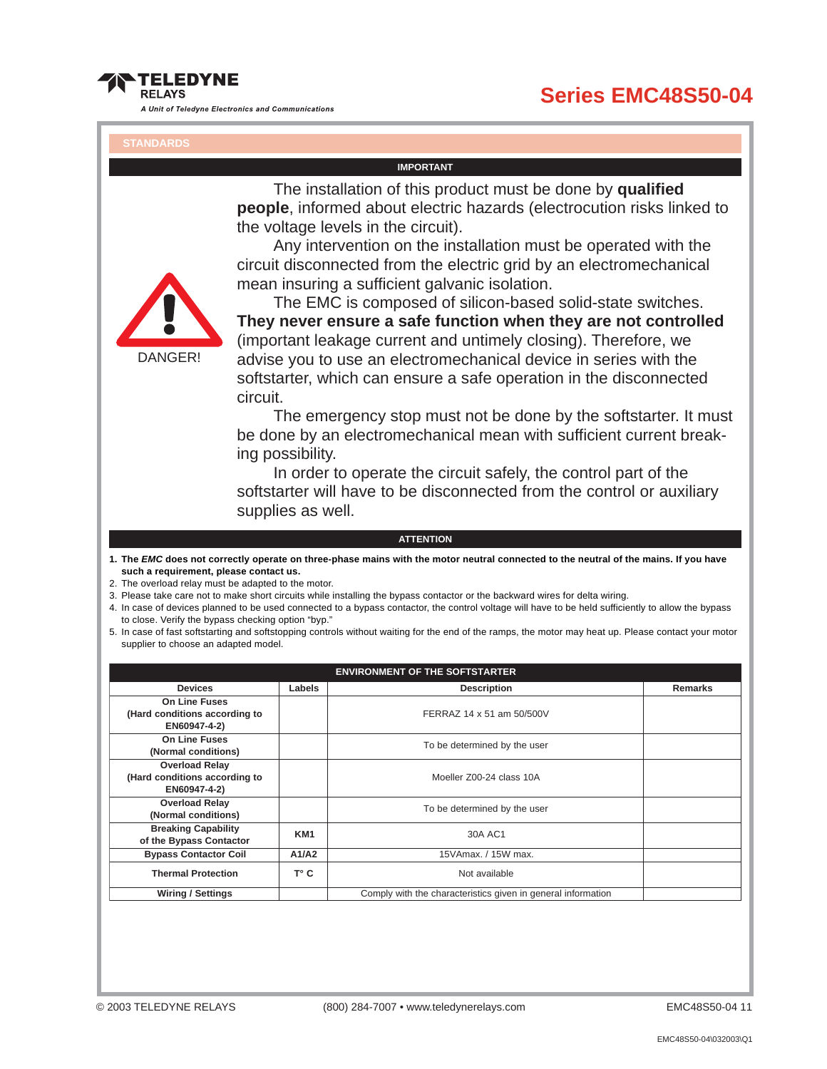#### **Series EMC48S50-04**

**RFI AYS** 

**TELEDYNE** 

A Unit of Teledyne Electronics and Communications

#### **IMPORTANT**

The installation of this product must be done by **qualified people**, informed about electric hazards (electrocution risks linked to the voltage levels in the circuit).

Any intervention on the installation must be operated with the circuit disconnected from the electric grid by an electromechanical mean insuring a sufficient galvanic isolation.



The EMC is composed of silicon-based solid-state switches. **They never ensure a safe function when they are not controlled** (important leakage current and untimely closing). Therefore, we advise you to use an electromechanical device in series with the softstarter, which can ensure a safe operation in the disconnected circuit.

The emergency stop must not be done by the softstarter. It must be done by an electromechanical mean with sufficient current breaking possibility.

In order to operate the circuit safely, the control part of the softstarter will have to be disconnected from the control or auxiliary supplies as well.

#### **ATTENTION**

- **1. The EMC does not correctly operate on three-phase mains with the motor neutral connected to the neutral of the mains. If you have such a requirement, please contact us.**
- 2. The overload relay must be adapted to the motor.
- 3. Please take care not to make short circuits while installing the bypass contactor or the backward wires for delta wiring.
- 4. In case of devices planned to be used connected to a bypass contactor, the control voltage will have to be held sufficiently to allow the bypass to close. Verify the bypass checking option "byp."
- 5. In case of fast softstarting and softstopping controls without waiting for the end of the ramps, the motor may heat up. Please contact your motor supplier to choose an adapted model.

| <b>ENVIRONMENT OF THE SOFTSTARTER</b>                                  |                 |                                                              |                |  |  |  |
|------------------------------------------------------------------------|-----------------|--------------------------------------------------------------|----------------|--|--|--|
| Labels<br><b>Devices</b>                                               |                 | <b>Description</b>                                           | <b>Remarks</b> |  |  |  |
| <b>On Line Fuses</b><br>(Hard conditions according to<br>EN60947-4-2)  |                 | FERRAZ 14 x 51 am 50/500V                                    |                |  |  |  |
| <b>On Line Fuses</b><br>(Normal conditions)                            |                 | To be determined by the user                                 |                |  |  |  |
| <b>Overload Relay</b><br>(Hard conditions according to<br>EN60947-4-2) |                 | Moeller Z00-24 class 10A                                     |                |  |  |  |
| <b>Overload Relay</b><br>(Normal conditions)                           |                 | To be determined by the user                                 |                |  |  |  |
| <b>Breaking Capability</b><br>of the Bypass Contactor                  | KM <sub>1</sub> | 30A AC1                                                      |                |  |  |  |
| <b>Bypass Contactor Coil</b>                                           | A1/A2           | 15VAmax. / 15W max.                                          |                |  |  |  |
| <b>Thermal Protection</b>                                              | T° C            | Not available                                                |                |  |  |  |
| <b>Wiring / Settings</b>                                               |                 | Comply with the characteristics given in general information |                |  |  |  |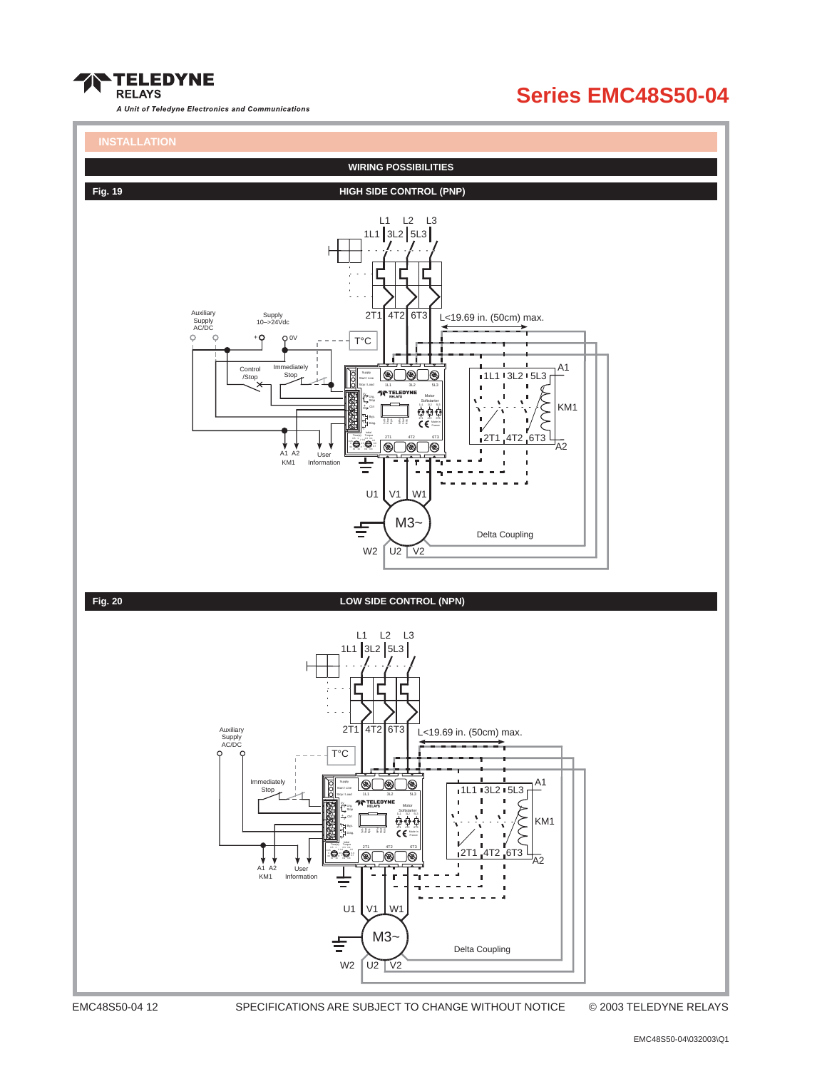



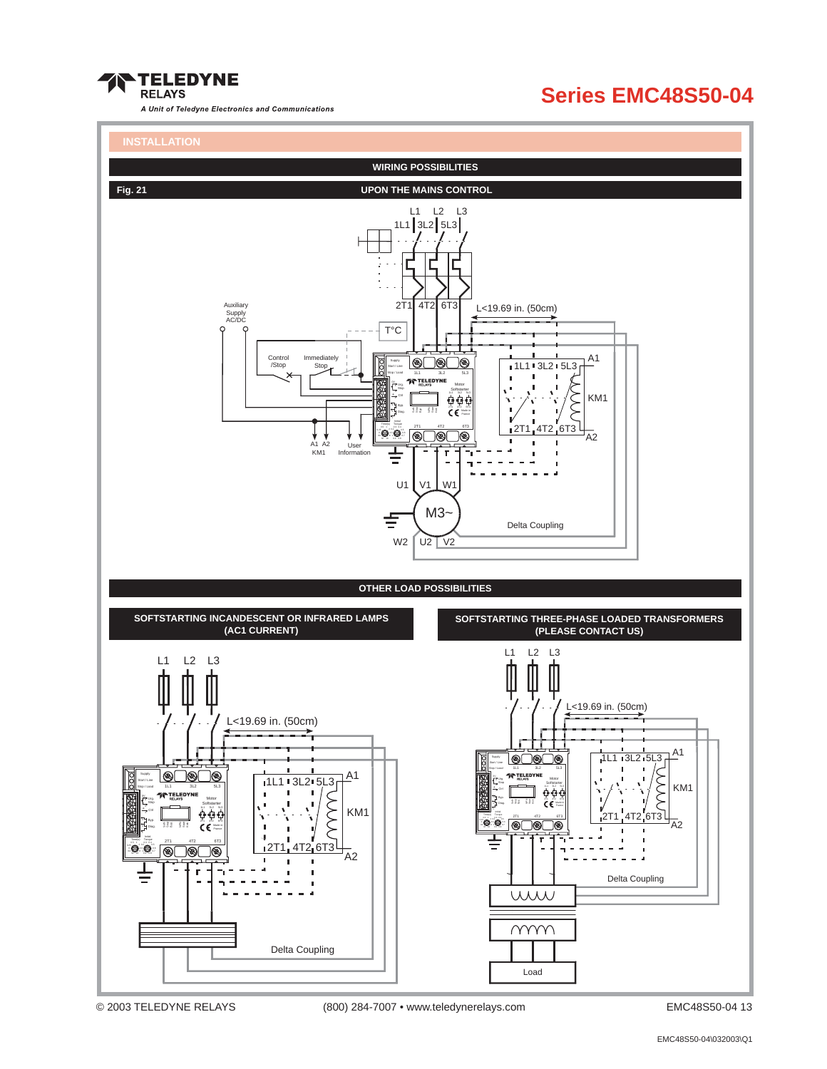



<sup>© 2003</sup> TELEDYNE RELAYS (800) 284-7007 • www.teledynerelays.com EMC48S50-04 13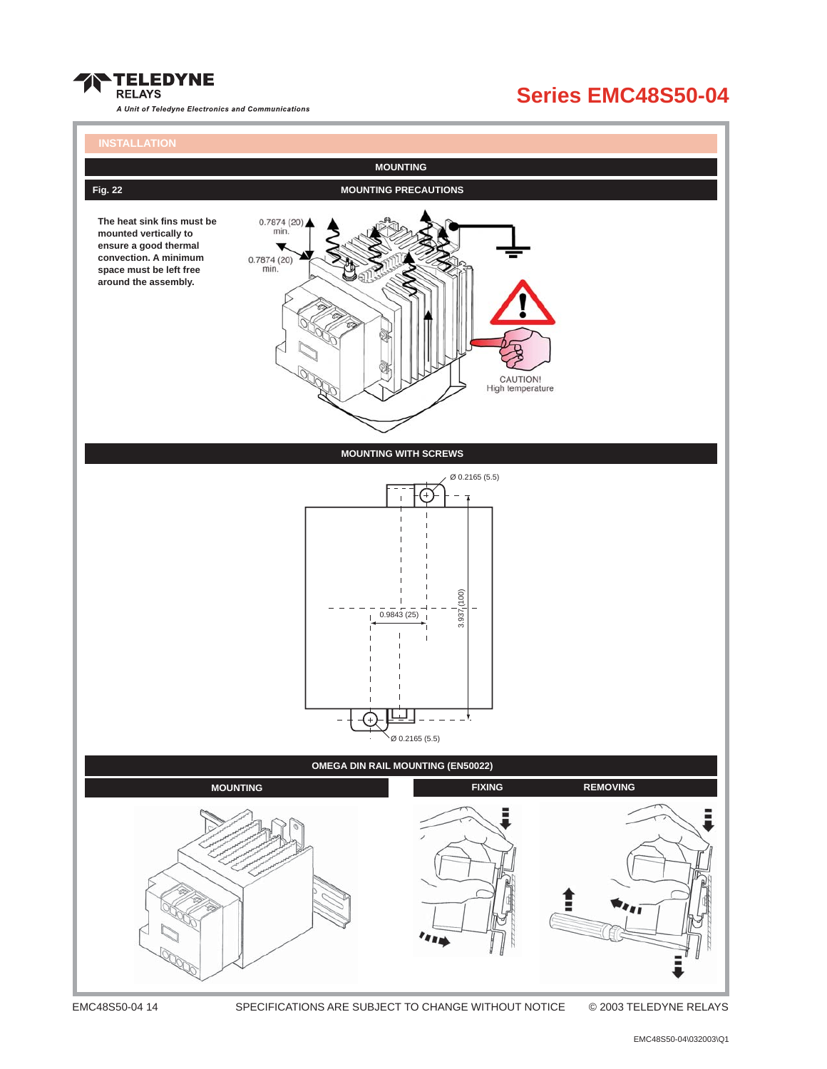

### **Series EMC48S50-04**

# **MOUNTING Fig. 22** MOUNTING PRECAUTIONS **The heat sink fins must be**  $0.7874(20)$ min **mounted vertically to ensure a good thermal convection. A minimum**  $0.7874(20)$ <br>min. **space must be left free around the assembly.** CAUTION!<br>High temperature **MOUNTING WITH SCREWS** Ø 0.2165 (5.5)  $(001)$ 3.937 (100)  $3.937<sub>1</sub>$  $0.9843(25)$  $=$   $\star$  $\varnothing$  0.2165 (5.5) **OMEGA DIN RAIL MOUNTING (EN50022) MOUNTING EXING REMOVING**

EMC48S50-04 14 SPECIFICATIONS ARE SUBJECT TO CHANGE WITHOUT NOTICE © 2003 TELEDYNE RELAYS